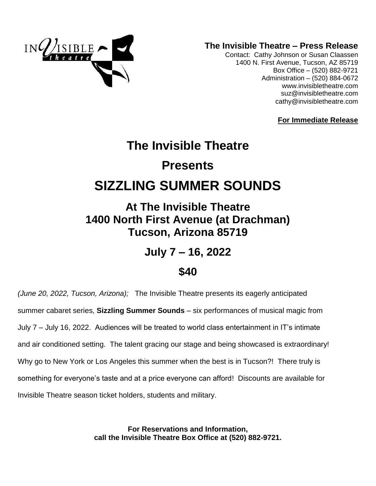

**The Invisible Theatre – Press Release**

Contact: Cathy Johnson or Susan Claassen 1400 N. First Avenue, Tucson, AZ 85719 Box Office – (520) 882-9721 Administration – (520) 884-0672 www.invisibletheatre.com [suz@invisibletheatre.com](mailto:suz@invisibletheatre.com) cathy@invisibletheatre.com

**For Immediate Release**

# **The Invisible Theatre Presents SIZZLING SUMMER SOUNDS**

**At The Invisible Theatre 1400 North First Avenue (at Drachman) Tucson, Arizona 85719**

**July 7 – 16, 2022**

## **\$40**

*(June 20, 2022, Tucson, Arizona);* The Invisible Theatre presents its eagerly anticipated summer cabaret series, **Sizzling Summer Sounds** – six performances of musical magic from July 7 – July 16, 2022. Audiences will be treated to world class entertainment in IT's intimate and air conditioned setting. The talent gracing our stage and being showcased is extraordinary! Why go to New York or Los Angeles this summer when the best is in Tucson?! There truly is something for everyone's taste and at a price everyone can afford! Discounts are available for Invisible Theatre season ticket holders, students and military.

> **For Reservations and Information, call the Invisible Theatre Box Office at (520) 882-9721.**